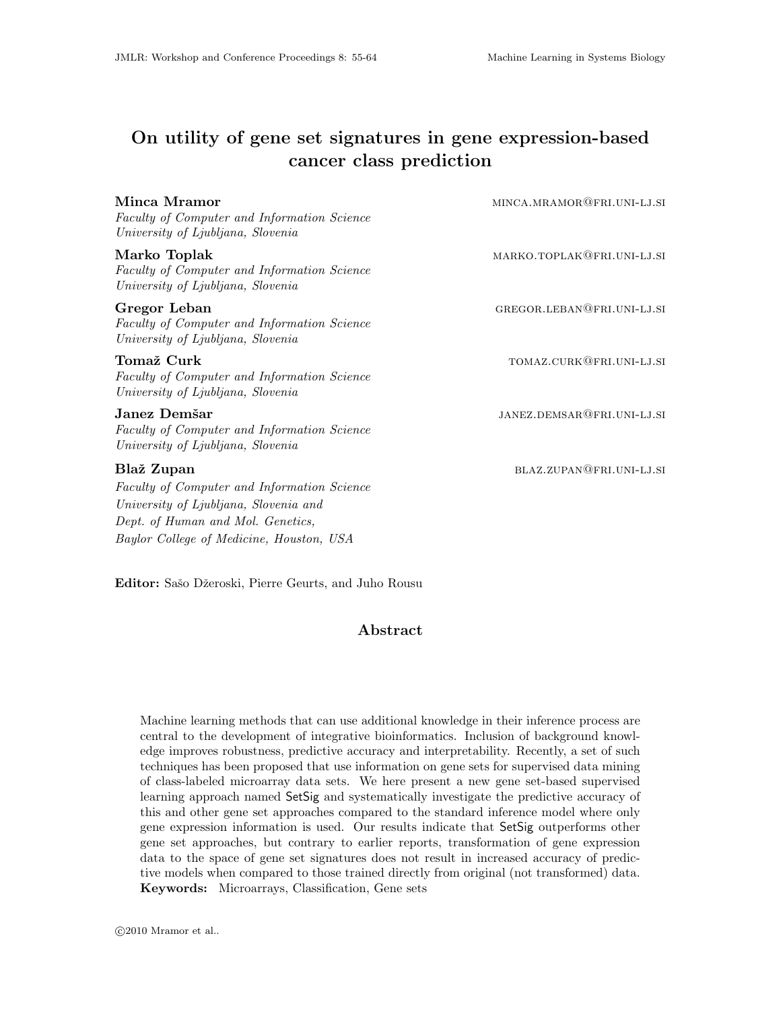# On utility of gene set signatures in gene expression-based cancer class prediction

| Minca Mramor<br>Faculty of Computer and Information Science<br>University of Ljubljana, Slovenia                                                                                    | MINCA.MRAMOR@FRI.UNI-LJ.SI |
|-------------------------------------------------------------------------------------------------------------------------------------------------------------------------------------|----------------------------|
| Marko Toplak<br>Faculty of Computer and Information Science<br>University of Ljubljana, Slovenia                                                                                    | MARKO.TOPLAK@FRI.UNI-LJ.SI |
| Gregor Leban<br>Faculty of Computer and Information Science<br>University of Ljubljana, Slovenia                                                                                    | GREGOR.LEBAN@FRI.UNI-LJ.SI |
| Tomaž Curk<br>Faculty of Computer and Information Science<br>University of Ljubljana, Slovenia                                                                                      | TOMAZ.CURK@FRI.UNI-LJ.SI   |
| Janez Demšar<br>Faculty of Computer and Information Science<br>University of Ljubljana, Slovenia                                                                                    | JANEZ.DEMSAR@FRI.UNI-LJ.SI |
| Blaž Zupan<br>Faculty of Computer and Information Science<br>University of Ljubljana, Slovenia and<br>Dept. of Human and Mol. Genetics,<br>Baylor College of Medicine, Houston, USA | BLAZ.ZUPAN@FRI.UNI-LJ.SI   |

Editor: Sašo Džeroski, Pierre Geurts, and Juho Rousu

# Abstract

Machine learning methods that can use additional knowledge in their inference process are central to the development of integrative bioinformatics. Inclusion of background knowledge improves robustness, predictive accuracy and interpretability. Recently, a set of such techniques has been proposed that use information on gene sets for supervised data mining of class-labeled microarray data sets. We here present a new gene set-based supervised learning approach named SetSig and systematically investigate the predictive accuracy of this and other gene set approaches compared to the standard inference model where only gene expression information is used. Our results indicate that SetSig outperforms other gene set approaches, but contrary to earlier reports, transformation of gene expression data to the space of gene set signatures does not result in increased accuracy of predictive models when compared to those trained directly from original (not transformed) data. Keywords: Microarrays, Classification, Gene sets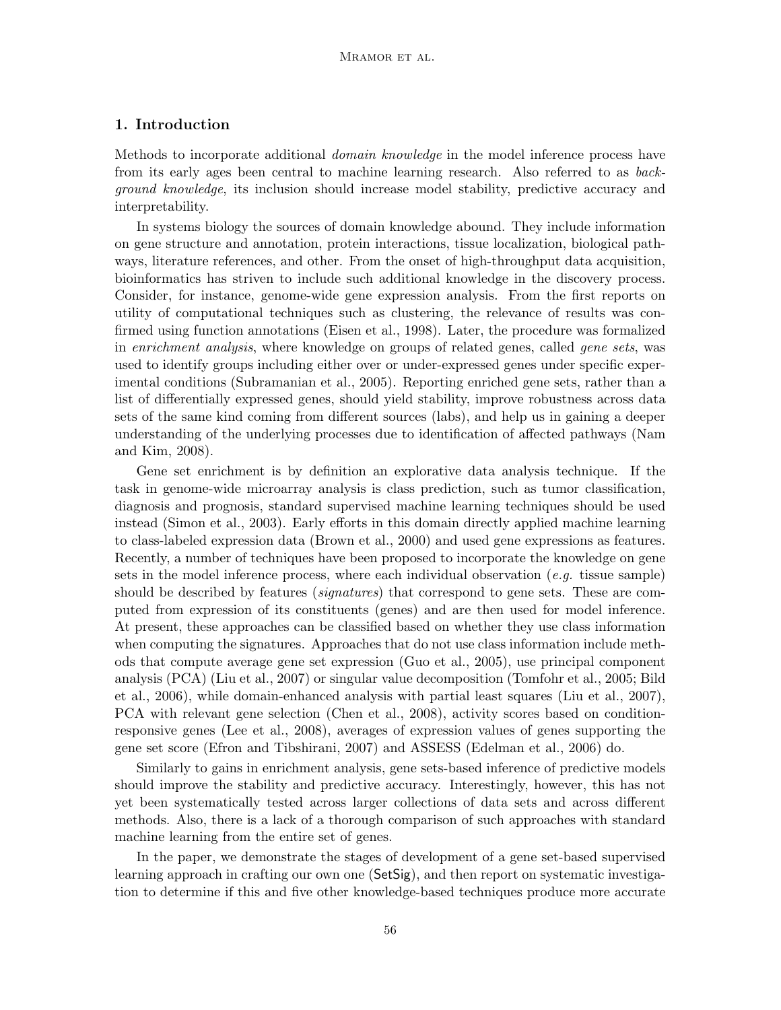# 1. Introduction

Methods to incorporate additional *domain knowledge* in the model inference process have from its early ages been central to machine learning research. Also referred to as background knowledge, its inclusion should increase model stability, predictive accuracy and interpretability.

In systems biology the sources of domain knowledge abound. They include information on gene structure and annotation, protein interactions, tissue localization, biological pathways, literature references, and other. From the onset of high-throughput data acquisition, bioinformatics has striven to include such additional knowledge in the discovery process. Consider, for instance, genome-wide gene expression analysis. From the first reports on utility of computational techniques such as clustering, the relevance of results was confirmed using function annotations (Eisen et al., 1998). Later, the procedure was formalized in enrichment analysis, where knowledge on groups of related genes, called gene sets, was used to identify groups including either over or under-expressed genes under specific experimental conditions (Subramanian et al., 2005). Reporting enriched gene sets, rather than a list of differentially expressed genes, should yield stability, improve robustness across data sets of the same kind coming from different sources (labs), and help us in gaining a deeper understanding of the underlying processes due to identification of affected pathways (Nam and Kim, 2008).

Gene set enrichment is by definition an explorative data analysis technique. If the task in genome-wide microarray analysis is class prediction, such as tumor classification, diagnosis and prognosis, standard supervised machine learning techniques should be used instead (Simon et al., 2003). Early efforts in this domain directly applied machine learning to class-labeled expression data (Brown et al., 2000) and used gene expressions as features. Recently, a number of techniques have been proposed to incorporate the knowledge on gene sets in the model inference process, where each individual observation (e.g. tissue sample) should be described by features (*signatures*) that correspond to gene sets. These are computed from expression of its constituents (genes) and are then used for model inference. At present, these approaches can be classified based on whether they use class information when computing the signatures. Approaches that do not use class information include methods that compute average gene set expression (Guo et al., 2005), use principal component analysis (PCA) (Liu et al., 2007) or singular value decomposition (Tomfohr et al., 2005; Bild et al., 2006), while domain-enhanced analysis with partial least squares (Liu et al., 2007), PCA with relevant gene selection (Chen et al., 2008), activity scores based on conditionresponsive genes (Lee et al., 2008), averages of expression values of genes supporting the gene set score (Efron and Tibshirani, 2007) and ASSESS (Edelman et al., 2006) do.

Similarly to gains in enrichment analysis, gene sets-based inference of predictive models should improve the stability and predictive accuracy. Interestingly, however, this has not yet been systematically tested across larger collections of data sets and across different methods. Also, there is a lack of a thorough comparison of such approaches with standard machine learning from the entire set of genes.

In the paper, we demonstrate the stages of development of a gene set-based supervised learning approach in crafting our own one (SetSig), and then report on systematic investigation to determine if this and five other knowledge-based techniques produce more accurate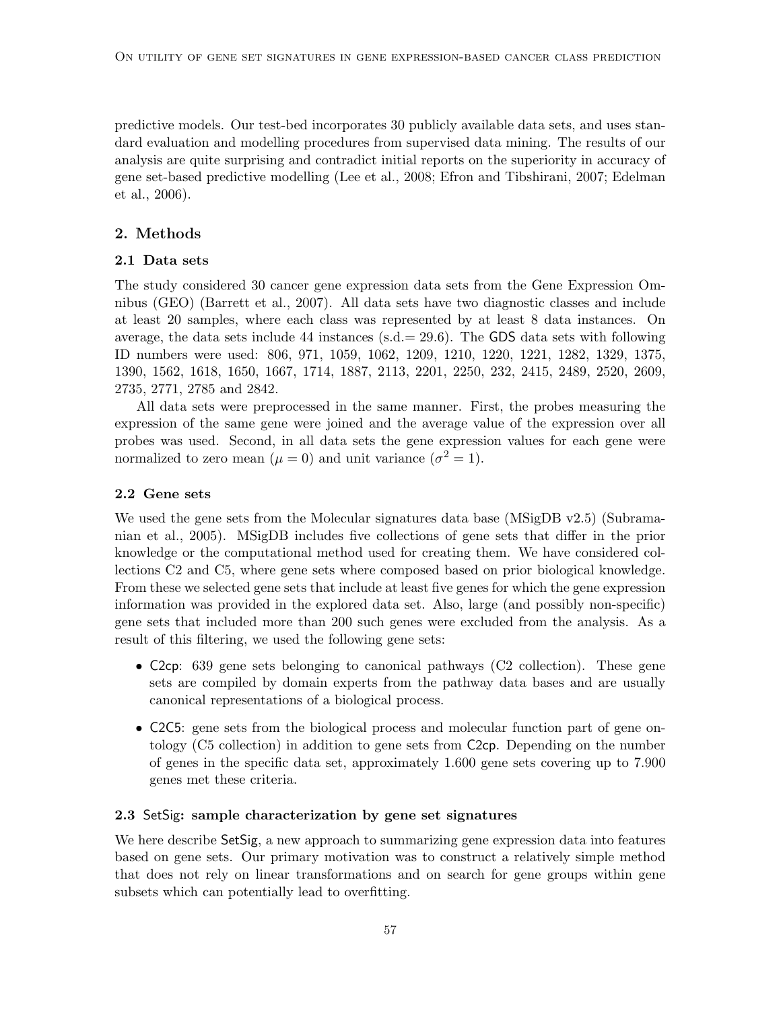predictive models. Our test-bed incorporates 30 publicly available data sets, and uses standard evaluation and modelling procedures from supervised data mining. The results of our analysis are quite surprising and contradict initial reports on the superiority in accuracy of gene set-based predictive modelling (Lee et al., 2008; Efron and Tibshirani, 2007; Edelman et al., 2006).

## 2. Methods

#### 2.1 Data sets

The study considered 30 cancer gene expression data sets from the Gene Expression Omnibus (GEO) (Barrett et al., 2007). All data sets have two diagnostic classes and include at least 20 samples, where each class was represented by at least 8 data instances. On average, the data sets include 44 instances (s.d.  $= 29.6$ ). The GDS data sets with following ID numbers were used: 806, 971, 1059, 1062, 1209, 1210, 1220, 1221, 1282, 1329, 1375, 1390, 1562, 1618, 1650, 1667, 1714, 1887, 2113, 2201, 2250, 232, 2415, 2489, 2520, 2609, 2735, 2771, 2785 and 2842.

All data sets were preprocessed in the same manner. First, the probes measuring the expression of the same gene were joined and the average value of the expression over all probes was used. Second, in all data sets the gene expression values for each gene were normalized to zero mean  $(\mu = 0)$  and unit variance  $(\sigma^2 = 1)$ .

#### 2.2 Gene sets

We used the gene sets from the Molecular signatures data base (MSigDB v2.5) (Subramanian et al., 2005). MSigDB includes five collections of gene sets that differ in the prior knowledge or the computational method used for creating them. We have considered collections C2 and C5, where gene sets where composed based on prior biological knowledge. From these we selected gene sets that include at least five genes for which the gene expression information was provided in the explored data set. Also, large (and possibly non-specific) gene sets that included more than 200 such genes were excluded from the analysis. As a result of this filtering, we used the following gene sets:

- C2cp: 639 gene sets belonging to canonical pathways (C2 collection). These gene sets are compiled by domain experts from the pathway data bases and are usually canonical representations of a biological process.
- C2C5: gene sets from the biological process and molecular function part of gene ontology (C5 collection) in addition to gene sets from C2cp. Depending on the number of genes in the specific data set, approximately 1.600 gene sets covering up to 7.900 genes met these criteria.

#### 2.3 SetSig: sample characterization by gene set signatures

We here describe SetSig, a new approach to summarizing gene expression data into features based on gene sets. Our primary motivation was to construct a relatively simple method that does not rely on linear transformations and on search for gene groups within gene subsets which can potentially lead to overfitting.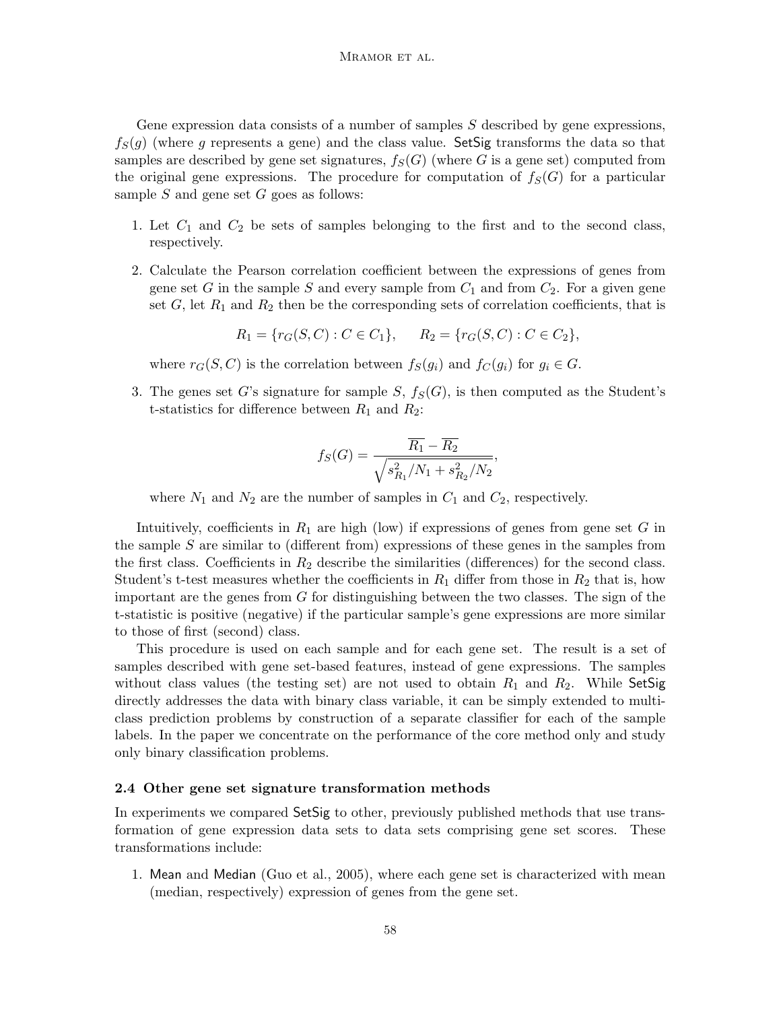Gene expression data consists of a number of samples  $S$  described by gene expressions,  $f_S(g)$  (where g represents a gene) and the class value. SetSig transforms the data so that samples are described by gene set signatures,  $f_S(G)$  (where G is a gene set) computed from the original gene expressions. The procedure for computation of  $f_S(G)$  for a particular sample  $S$  and gene set  $G$  goes as follows:

- 1. Let  $C_1$  and  $C_2$  be sets of samples belonging to the first and to the second class, respectively.
- 2. Calculate the Pearson correlation coefficient between the expressions of genes from gene set G in the sample S and every sample from  $C_1$  and from  $C_2$ . For a given gene set  $G$ , let  $R_1$  and  $R_2$  then be the corresponding sets of correlation coefficients, that is

$$
R_1 = \{r_G(S, C) : C \in C_1\}, \qquad R_2 = \{r_G(S, C) : C \in C_2\},
$$

where  $r_G(S, C)$  is the correlation between  $f_S(g_i)$  and  $f_C(g_i)$  for  $g_i \in G$ .

3. The genes set G's signature for sample  $S$ ,  $f_S(G)$ , is then computed as the Student's t-statistics for difference between  $R_1$  and  $R_2$ :

$$
f_S(G) = \frac{\overline{R_1} - \overline{R_2}}{\sqrt{s_{R_1}^2/N_1 + s_{R_2}^2/N_2}}
$$

,

where  $N_1$  and  $N_2$  are the number of samples in  $C_1$  and  $C_2$ , respectively.

Intuitively, coefficients in  $R_1$  are high (low) if expressions of genes from gene set G in the sample  $S$  are similar to (different from) expressions of these genes in the samples from the first class. Coefficients in  $R_2$  describe the similarities (differences) for the second class. Student's t-test measures whether the coefficients in  $R_1$  differ from those in  $R_2$  that is, how important are the genes from  $G$  for distinguishing between the two classes. The sign of the t-statistic is positive (negative) if the particular sample's gene expressions are more similar to those of first (second) class.

This procedure is used on each sample and for each gene set. The result is a set of samples described with gene set-based features, instead of gene expressions. The samples without class values (the testing set) are not used to obtain  $R_1$  and  $R_2$ . While SetSig directly addresses the data with binary class variable, it can be simply extended to multiclass prediction problems by construction of a separate classifier for each of the sample labels. In the paper we concentrate on the performance of the core method only and study only binary classification problems.

#### 2.4 Other gene set signature transformation methods

In experiments we compared SetSig to other, previously published methods that use transformation of gene expression data sets to data sets comprising gene set scores. These transformations include:

1. Mean and Median (Guo et al., 2005), where each gene set is characterized with mean (median, respectively) expression of genes from the gene set.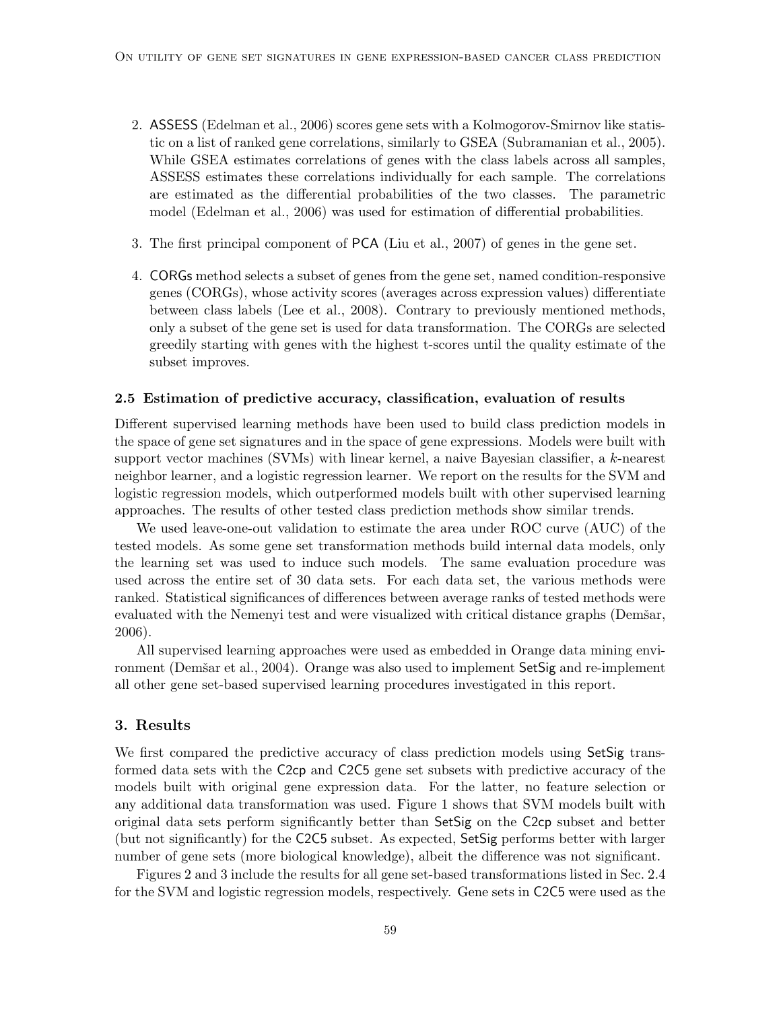- 2. ASSESS (Edelman et al., 2006) scores gene sets with a Kolmogorov-Smirnov like statistic on a list of ranked gene correlations, similarly to GSEA (Subramanian et al., 2005). While GSEA estimates correlations of genes with the class labels across all samples, ASSESS estimates these correlations individually for each sample. The correlations are estimated as the differential probabilities of the two classes. The parametric model (Edelman et al., 2006) was used for estimation of differential probabilities.
- 3. The first principal component of PCA (Liu et al., 2007) of genes in the gene set.
- 4. CORGs method selects a subset of genes from the gene set, named condition-responsive genes (CORGs), whose activity scores (averages across expression values) differentiate between class labels (Lee et al., 2008). Contrary to previously mentioned methods, only a subset of the gene set is used for data transformation. The CORGs are selected greedily starting with genes with the highest t-scores until the quality estimate of the subset improves.

#### 2.5 Estimation of predictive accuracy, classification, evaluation of results

Different supervised learning methods have been used to build class prediction models in the space of gene set signatures and in the space of gene expressions. Models were built with support vector machines (SVMs) with linear kernel, a naive Bayesian classifier, a k-nearest neighbor learner, and a logistic regression learner. We report on the results for the SVM and logistic regression models, which outperformed models built with other supervised learning approaches. The results of other tested class prediction methods show similar trends.

We used leave-one-out validation to estimate the area under ROC curve (AUC) of the tested models. As some gene set transformation methods build internal data models, only the learning set was used to induce such models. The same evaluation procedure was used across the entire set of 30 data sets. For each data set, the various methods were ranked. Statistical significances of differences between average ranks of tested methods were evaluated with the Nemenyi test and were visualized with critical distance graphs (Demšar, 2006).

All supervised learning approaches were used as embedded in Orange data mining environment (Demšar et al., 2004). Orange was also used to implement SetSig and re-implement all other gene set-based supervised learning procedures investigated in this report.

#### 3. Results

We first compared the predictive accuracy of class prediction models using SetSig transformed data sets with the C2cp and C2C5 gene set subsets with predictive accuracy of the models built with original gene expression data. For the latter, no feature selection or any additional data transformation was used. Figure 1 shows that SVM models built with original data sets perform significantly better than SetSig on the C2cp subset and better (but not significantly) for the C2C5 subset. As expected, SetSig performs better with larger number of gene sets (more biological knowledge), albeit the difference was not significant.

Figures 2 and 3 include the results for all gene set-based transformations listed in Sec. 2.4 for the SVM and logistic regression models, respectively. Gene sets in C2C5 were used as the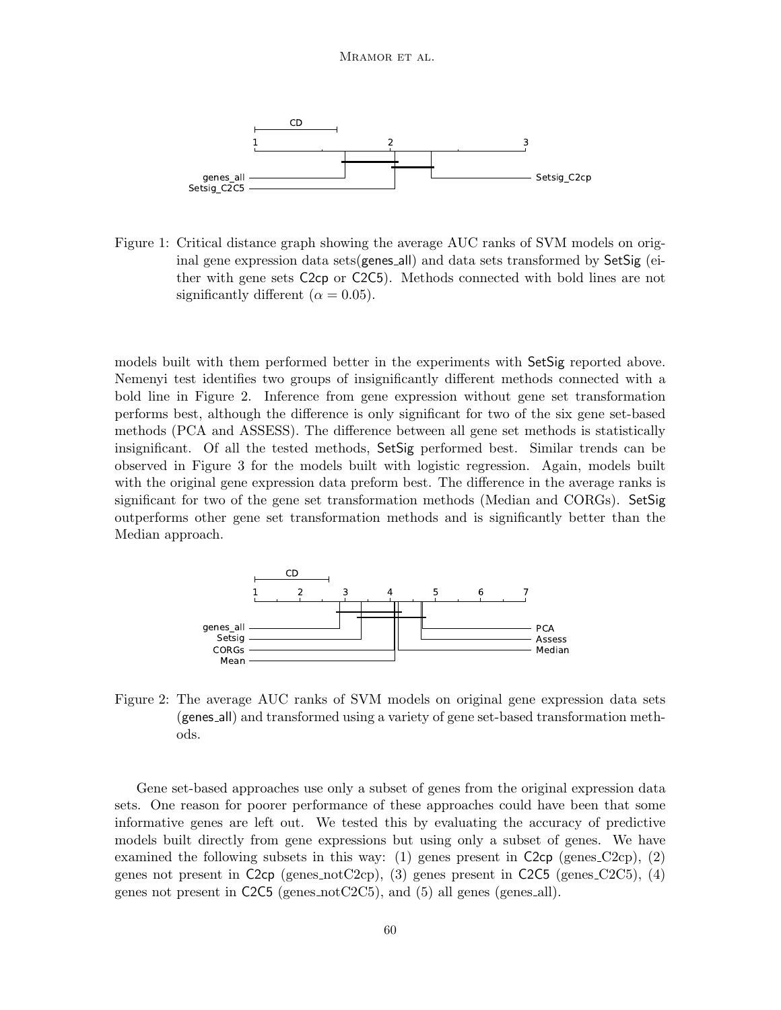

Figure 1: Critical distance graph showing the average AUC ranks of SVM models on original gene expression data sets(genes all) and data sets transformed by  $\mathsf{SetSign}\$  (either with gene sets C2cp or C2C5). Methods connected with bold lines are not significantly different ( $\alpha = 0.05$ ).

models built with them performed better in the experiments with SetSig reported above. Nemenyi test identifies two groups of insignificantly different methods connected with a bold line in Figure 2. Inference from gene expression without gene set transformation performs best, although the difference is only significant for two of the six gene set-based methods (PCA and ASSESS). The difference between all gene set methods is statistically insignificant. Of all the tested methods, SetSig performed best. Similar trends can be observed in Figure 3 for the models built with logistic regression. Again, models built with the original gene expression data preform best. The difference in the average ranks is significant for two of the gene set transformation methods (Median and CORGs). SetSig outperforms other gene set transformation methods and is significantly better than the Median approach.



Figure 2: The average AUC ranks of SVM models on original gene expression data sets (genes all) and transformed using a variety of gene set-based transformation methods.

Gene set-based approaches use only a subset of genes from the original expression data sets. One reason for poorer performance of these approaches could have been that some informative genes are left out. We tested this by evaluating the accuracy of predictive models built directly from gene expressions but using only a subset of genes. We have examined the following subsets in this way: (1) genes present in  $C2cp$  (genes  $C2cp$ ), (2) genes not present in C2cp (genes notC2cp), (3) genes present in C2C5 (genes C2C5), (4) genes not present in  $C2C5$  (genes not  $C2C5$ ), and (5) all genes (genes all).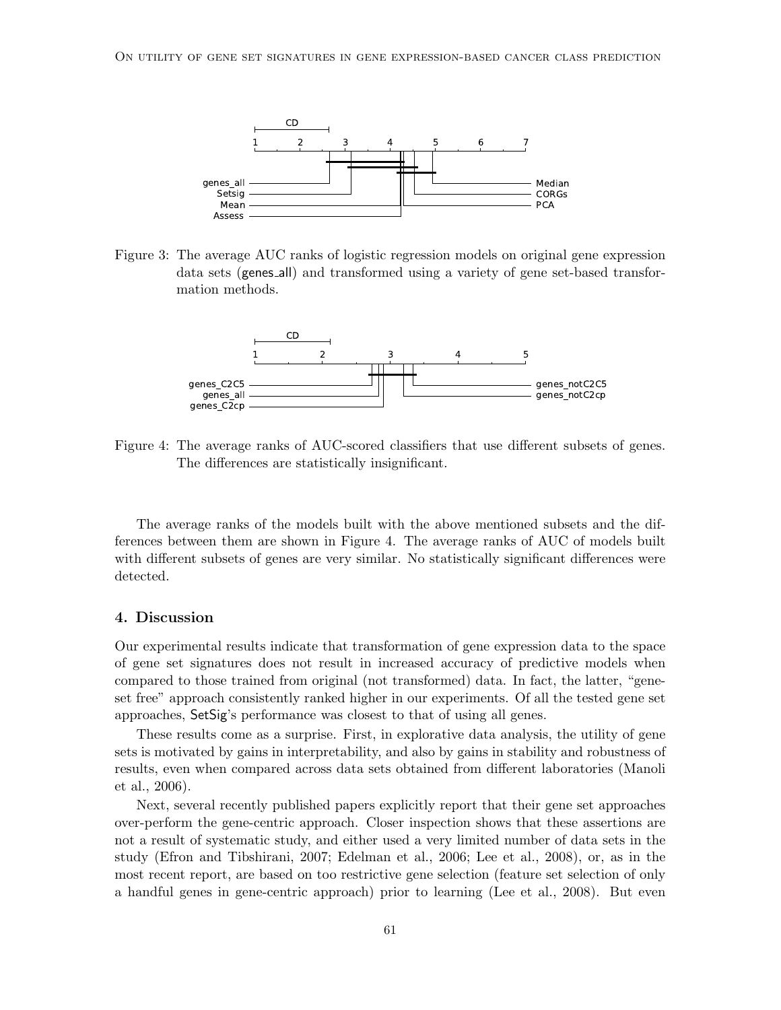

Figure 3: The average AUC ranks of logistic regression models on original gene expression data sets (genes all) and transformed using a variety of gene set-based transformation methods.



Figure 4: The average ranks of AUC-scored classifiers that use different subsets of genes. The differences are statistically insignificant.

The average ranks of the models built with the above mentioned subsets and the differences between them are shown in Figure 4. The average ranks of AUC of models built with different subsets of genes are very similar. No statistically significant differences were detected.

#### 4. Discussion

Our experimental results indicate that transformation of gene expression data to the space of gene set signatures does not result in increased accuracy of predictive models when compared to those trained from original (not transformed) data. In fact, the latter, "geneset free" approach consistently ranked higher in our experiments. Of all the tested gene set approaches, SetSig's performance was closest to that of using all genes.

These results come as a surprise. First, in explorative data analysis, the utility of gene sets is motivated by gains in interpretability, and also by gains in stability and robustness of results, even when compared across data sets obtained from different laboratories (Manoli et al., 2006).

Next, several recently published papers explicitly report that their gene set approaches over-perform the gene-centric approach. Closer inspection shows that these assertions are not a result of systematic study, and either used a very limited number of data sets in the study (Efron and Tibshirani, 2007; Edelman et al., 2006; Lee et al., 2008), or, as in the most recent report, are based on too restrictive gene selection (feature set selection of only a handful genes in gene-centric approach) prior to learning (Lee et al., 2008). But even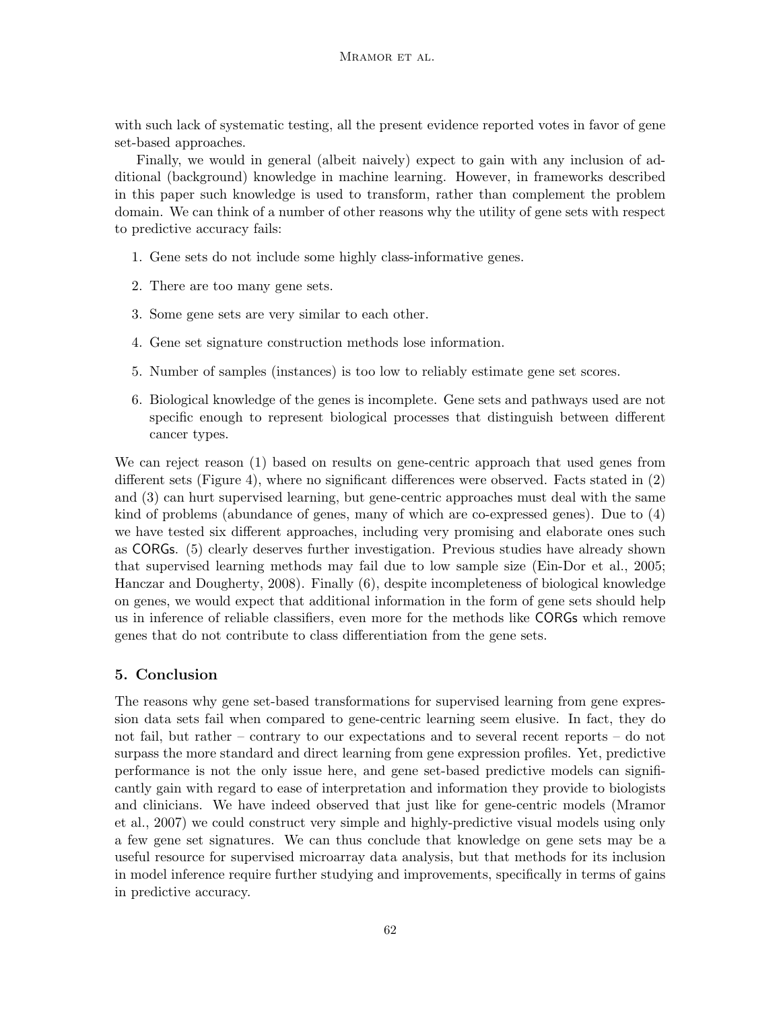with such lack of systematic testing, all the present evidence reported votes in favor of gene set-based approaches.

Finally, we would in general (albeit naively) expect to gain with any inclusion of additional (background) knowledge in machine learning. However, in frameworks described in this paper such knowledge is used to transform, rather than complement the problem domain. We can think of a number of other reasons why the utility of gene sets with respect to predictive accuracy fails:

- 1. Gene sets do not include some highly class-informative genes.
- 2. There are too many gene sets.
- 3. Some gene sets are very similar to each other.
- 4. Gene set signature construction methods lose information.
- 5. Number of samples (instances) is too low to reliably estimate gene set scores.
- 6. Biological knowledge of the genes is incomplete. Gene sets and pathways used are not specific enough to represent biological processes that distinguish between different cancer types.

We can reject reason (1) based on results on gene-centric approach that used genes from different sets (Figure 4), where no significant differences were observed. Facts stated in (2) and (3) can hurt supervised learning, but gene-centric approaches must deal with the same kind of problems (abundance of genes, many of which are co-expressed genes). Due to (4) we have tested six different approaches, including very promising and elaborate ones such as CORGs. (5) clearly deserves further investigation. Previous studies have already shown that supervised learning methods may fail due to low sample size (Ein-Dor et al., 2005; Hanczar and Dougherty, 2008). Finally (6), despite incompleteness of biological knowledge on genes, we would expect that additional information in the form of gene sets should help us in inference of reliable classifiers, even more for the methods like CORGs which remove genes that do not contribute to class differentiation from the gene sets.

# 5. Conclusion

The reasons why gene set-based transformations for supervised learning from gene expression data sets fail when compared to gene-centric learning seem elusive. In fact, they do not fail, but rather – contrary to our expectations and to several recent reports – do not surpass the more standard and direct learning from gene expression profiles. Yet, predictive performance is not the only issue here, and gene set-based predictive models can significantly gain with regard to ease of interpretation and information they provide to biologists and clinicians. We have indeed observed that just like for gene-centric models (Mramor et al., 2007) we could construct very simple and highly-predictive visual models using only a few gene set signatures. We can thus conclude that knowledge on gene sets may be a useful resource for supervised microarray data analysis, but that methods for its inclusion in model inference require further studying and improvements, specifically in terms of gains in predictive accuracy.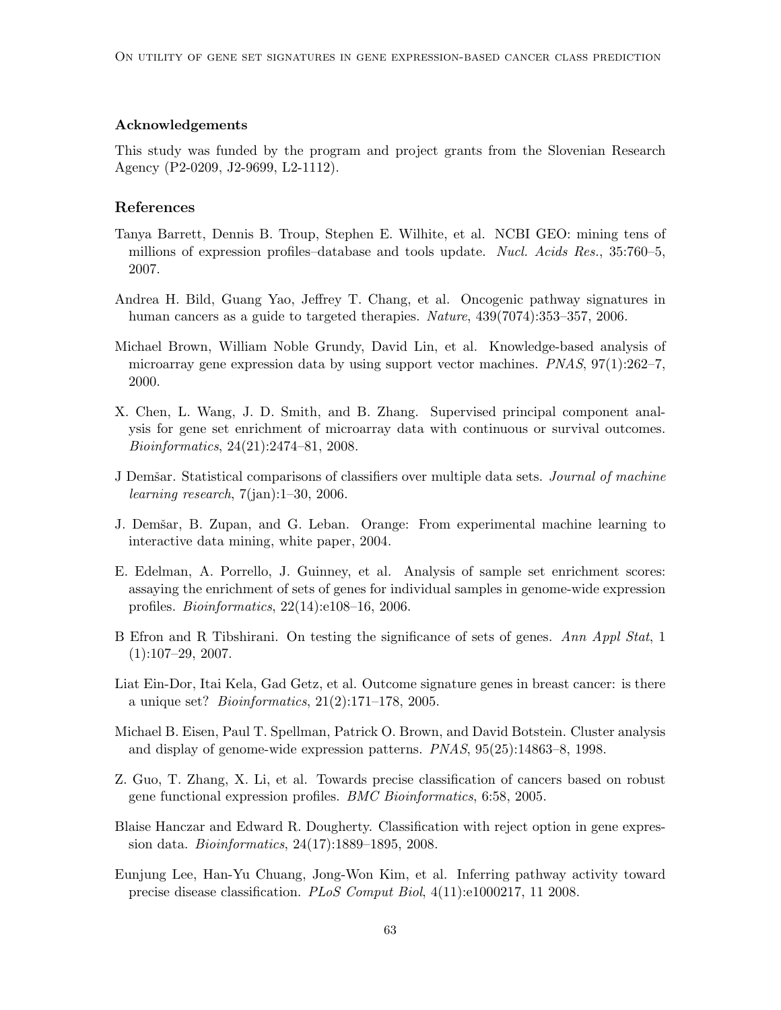#### Acknowledgements

This study was funded by the program and project grants from the Slovenian Research Agency (P2-0209, J2-9699, L2-1112).

## References

- Tanya Barrett, Dennis B. Troup, Stephen E. Wilhite, et al. NCBI GEO: mining tens of millions of expression profiles–database and tools update. Nucl. Acids Res., 35:760–5, 2007.
- Andrea H. Bild, Guang Yao, Jeffrey T. Chang, et al. Oncogenic pathway signatures in human cancers as a guide to targeted therapies. *Nature*,  $439(7074):353-357, 2006$ .
- Michael Brown, William Noble Grundy, David Lin, et al. Knowledge-based analysis of microarray gene expression data by using support vector machines. PNAS, 97(1):262–7, 2000.
- X. Chen, L. Wang, J. D. Smith, and B. Zhang. Supervised principal component analysis for gene set enrichment of microarray data with continuous or survival outcomes. Bioinformatics, 24(21):2474–81, 2008.
- J Demšar. Statistical comparisons of classifiers over multiple data sets. *Journal of machine* learning research,  $7(ian):1-30$ , 2006.
- J. Demšar, B. Zupan, and G. Leban. Orange: From experimental machine learning to interactive data mining, white paper, 2004.
- E. Edelman, A. Porrello, J. Guinney, et al. Analysis of sample set enrichment scores: assaying the enrichment of sets of genes for individual samples in genome-wide expression profiles. Bioinformatics, 22(14):e108–16, 2006.
- B Efron and R Tibshirani. On testing the significance of sets of genes. Ann Appl Stat, 1  $(1):107-29, 2007.$
- Liat Ein-Dor, Itai Kela, Gad Getz, et al. Outcome signature genes in breast cancer: is there a unique set? Bioinformatics, 21(2):171–178, 2005.
- Michael B. Eisen, Paul T. Spellman, Patrick O. Brown, and David Botstein. Cluster analysis and display of genome-wide expression patterns. PNAS, 95(25):14863–8, 1998.
- Z. Guo, T. Zhang, X. Li, et al. Towards precise classification of cancers based on robust gene functional expression profiles. BMC Bioinformatics, 6:58, 2005.
- Blaise Hanczar and Edward R. Dougherty. Classification with reject option in gene expression data. Bioinformatics, 24(17):1889–1895, 2008.
- Eunjung Lee, Han-Yu Chuang, Jong-Won Kim, et al. Inferring pathway activity toward precise disease classification. PLoS Comput Biol, 4(11):e1000217, 11 2008.